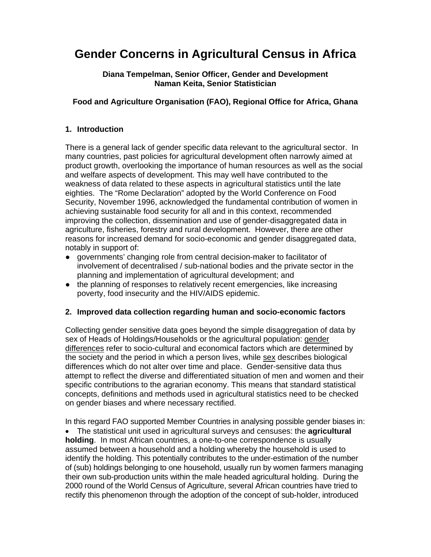# **Gender Concerns in Agricultural Census in Africa**

### **Diana Tempelman, Senior Officer, Gender and Development Naman Keita, Senior Statistician**

## **Food and Agriculture Organisation (FAO), Regional Office for Africa, Ghana**

## **1. Introduction**

There is a general lack of gender specific data relevant to the agricultural sector. In many countries, past policies for agricultural development often narrowly aimed at product growth, overlooking the importance of human resources as well as the social and welfare aspects of development. This may well have contributed to the weakness of data related to these aspects in agricultural statistics until the late eighties. The "Rome Declaration" adopted by the World Conference on Food Security, November 1996, acknowledged the fundamental contribution of women in achieving sustainable food security for all and in this context, recommended improving the collection, dissemination and use of gender-disaggregated data in agriculture, fisheries, forestry and rural development. However, there are other reasons for increased demand for socio-economic and gender disaggregated data, notably in support of:

- governments' changing role from central decision-maker to facilitator of involvement of decentralised / sub-national bodies and the private sector in the planning and implementation of agricultural development; and
- the planning of responses to relatively recent emergencies, like increasing poverty, food insecurity and the HIV/AIDS epidemic.

## **2. Improved data collection regarding human and socio-economic factors**

Collecting gender sensitive data goes beyond the simple disaggregation of data by sex of Heads of Holdings/Households or the agricultural population: gender differences refer to socio-cultural and economical factors which are determined by the society and the period in which a person lives, while sex describes biological differences which do not alter over time and place. Gender-sensitive data thus attempt to reflect the diverse and differentiated situation of men and women and their specific contributions to the agrarian economy. This means that standard statistical concepts, definitions and methods used in agricultural statistics need to be checked on gender biases and where necessary rectified.

In this regard FAO supported Member Countries in analysing possible gender biases in:

• The statistical unit used in agricultural surveys and censuses: the **agricultural holding**. In most African countries, a one-to-one correspondence is usually assumed between a household and a holding whereby the household is used to identify the holding. This potentially contributes to the under-estimation of the number of (sub) holdings belonging to one household, usually run by women farmers managing their own sub-production units within the male headed agricultural holding. During the 2000 round of the World Census of Agriculture, several African countries have tried to rectify this phenomenon through the adoption of the concept of sub-holder, introduced